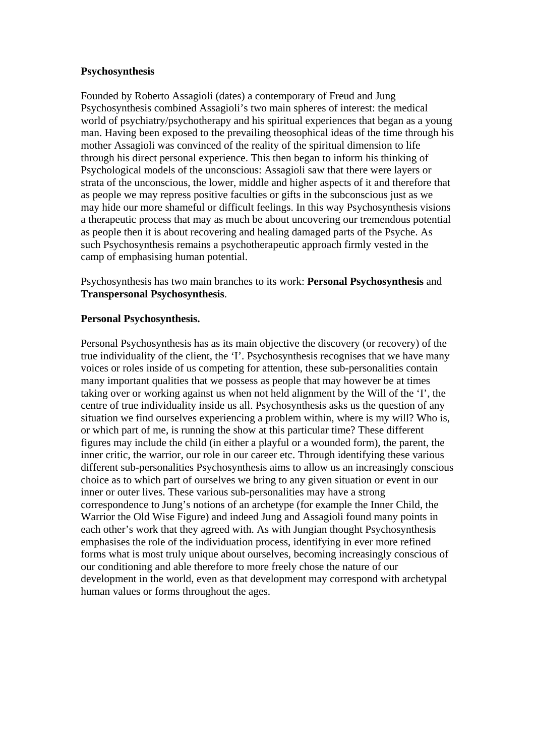### **Psychosynthesis**

Founded by Roberto Assagioli (dates) a contemporary of Freud and Jung Psychosynthesis combined Assagioli's two main spheres of interest: the medical world of psychiatry/psychotherapy and his spiritual experiences that began as a young man. Having been exposed to the prevailing theosophical ideas of the time through his mother Assagioli was convinced of the reality of the spiritual dimension to life through his direct personal experience. This then began to inform his thinking of Psychological models of the unconscious: Assagioli saw that there were layers or strata of the unconscious, the lower, middle and higher aspects of it and therefore that as people we may repress positive faculties or gifts in the subconscious just as we may hide our more shameful or difficult feelings. In this way Psychosynthesis visions a therapeutic process that may as much be about uncovering our tremendous potential as people then it is about recovering and healing damaged parts of the Psyche. As such Psychosynthesis remains a psychotherapeutic approach firmly vested in the camp of emphasising human potential.

Psychosynthesis has two main branches to its work: **Personal Psychosynthesis** and **Transpersonal Psychosynthesis**.

# **Personal Psychosynthesis.**

Personal Psychosynthesis has as its main objective the discovery (or recovery) of the true individuality of the client, the 'I'. Psychosynthesis recognises that we have many voices or roles inside of us competing for attention, these sub-personalities contain many important qualities that we possess as people that may however be at times taking over or working against us when not held alignment by the Will of the 'I', the centre of true individuality inside us all. Psychosynthesis asks us the question of any situation we find ourselves experiencing a problem within, where is my will? Who is, or which part of me, is running the show at this particular time? These different figures may include the child (in either a playful or a wounded form), the parent, the inner critic, the warrior, our role in our career etc. Through identifying these various different sub-personalities Psychosynthesis aims to allow us an increasingly conscious choice as to which part of ourselves we bring to any given situation or event in our inner or outer lives. These various sub-personalities may have a strong correspondence to Jung's notions of an archetype (for example the Inner Child, the Warrior the Old Wise Figure) and indeed Jung and Assagioli found many points in each other's work that they agreed with. As with Jungian thought Psychosynthesis emphasises the role of the individuation process, identifying in ever more refined forms what is most truly unique about ourselves, becoming increasingly conscious of our conditioning and able therefore to more freely chose the nature of our development in the world, even as that development may correspond with archetypal human values or forms throughout the ages.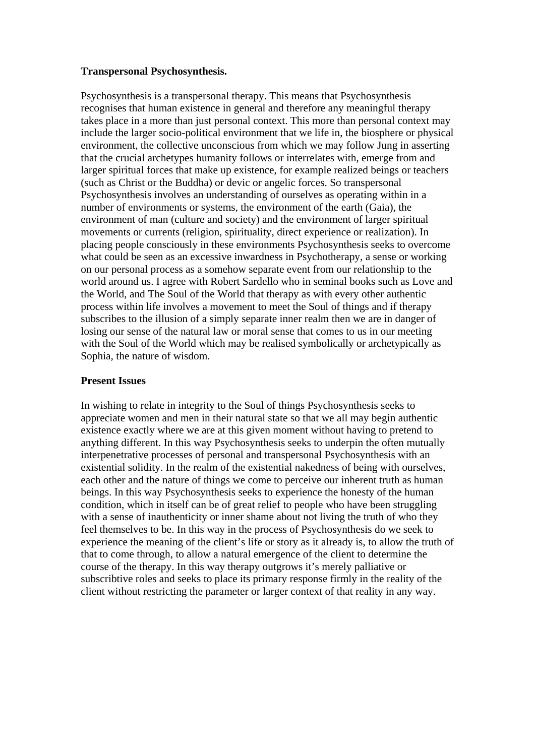### **Transpersonal Psychosynthesis.**

Psychosynthesis is a transpersonal therapy. This means that Psychosynthesis recognises that human existence in general and therefore any meaningful therapy takes place in a more than just personal context. This more than personal context may include the larger socio-political environment that we life in, the biosphere or physical environment, the collective unconscious from which we may follow Jung in asserting that the crucial archetypes humanity follows or interrelates with, emerge from and larger spiritual forces that make up existence, for example realized beings or teachers (such as Christ or the Buddha) or devic or angelic forces. So transpersonal Psychosynthesis involves an understanding of ourselves as operating within in a number of environments or systems, the environment of the earth (Gaia), the environment of man (culture and society) and the environment of larger spiritual movements or currents (religion, spirituality, direct experience or realization). In placing people consciously in these environments Psychosynthesis seeks to overcome what could be seen as an excessive inwardness in Psychotherapy, a sense or working on our personal process as a somehow separate event from our relationship to the world around us. I agree with Robert Sardello who in seminal books such as Love and the World, and The Soul of the World that therapy as with every other authentic process within life involves a movement to meet the Soul of things and if therapy subscribes to the illusion of a simply separate inner realm then we are in danger of losing our sense of the natural law or moral sense that comes to us in our meeting with the Soul of the World which may be realised symbolically or archetypically as Sophia, the nature of wisdom.

## **Present Issues**

In wishing to relate in integrity to the Soul of things Psychosynthesis seeks to appreciate women and men in their natural state so that we all may begin authentic existence exactly where we are at this given moment without having to pretend to anything different. In this way Psychosynthesis seeks to underpin the often mutually interpenetrative processes of personal and transpersonal Psychosynthesis with an existential solidity. In the realm of the existential nakedness of being with ourselves, each other and the nature of things we come to perceive our inherent truth as human beings. In this way Psychosynthesis seeks to experience the honesty of the human condition, which in itself can be of great relief to people who have been struggling with a sense of inauthenticity or inner shame about not living the truth of who they feel themselves to be. In this way in the process of Psychosynthesis do we seek to experience the meaning of the client's life or story as it already is, to allow the truth of that to come through, to allow a natural emergence of the client to determine the course of the therapy. In this way therapy outgrows it's merely palliative or subscribtive roles and seeks to place its primary response firmly in the reality of the client without restricting the parameter or larger context of that reality in any way.